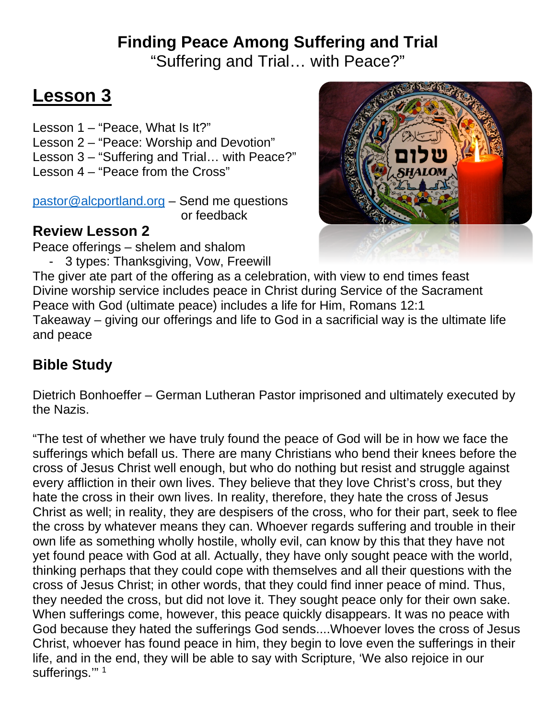# **Finding Peace Among Suffering and Trial**

"Suffering and Trial… with Peace?"

# **Lesson 3**

Lesson 1 – "Peace, What Is It?" Lesson 2 – "Peace: Worship and Devotion" Lesson 3 – "Suffering and Trial… with Peace?" Lesson 4 – "Peace from the Cross"

[pastor@alcportland.org](mailto:pastor@alcportland.org) – Send me questions or feedback

## **Review Lesson 2**

Peace offerings – shelem and shalom

- 3 types: Thanksgiving, Vow, Freewill



The giver ate part of the offering as a celebration, with view to end times feast Divine worship service includes peace in Christ during Service of the Sacrament Peace with God (ultimate peace) includes a life for Him, Romans 12:1 Takeaway – giving our offerings and life to God in a sacrificial way is the ultimate life and peace

# **Bible Study**

Dietrich Bonhoeffer – German Lutheran Pastor imprisoned and ultimately executed by the Nazis.

"The test of whether we have truly found the peace of God will be in how we face the sufferings which befall us. There are many Christians who bend their knees before the cross of Jesus Christ well enough, but who do nothing but resist and struggle against every affliction in their own lives. They believe that they love Christ's cross, but they hate the cross in their own lives. In reality, therefore, they hate the cross of Jesus Christ as well; in reality, they are despisers of the cross, who for their part, seek to flee the cross by whatever means they can. Whoever regards suffering and trouble in their own life as something wholly hostile, wholly evil, can know by this that they have not yet found peace with God at all. Actually, they have only sought peace with the world, thinking perhaps that they could cope with themselves and all their questions with the cross of Jesus Christ; in other words, that they could find inner peace of mind. Thus, they needed the cross, but did not love it. They sought peace only for their own sake. When sufferings come, however, this peace quickly disappears. It was no peace with God because they hated the sufferings God sends....Whoever loves the cross of Jesus Christ, whoever has found peace in him, they begin to love even the sufferings in their life, and in the end, they will be able to say with Scripture, 'We also rejoice in our sufferings."<sup>1</sup>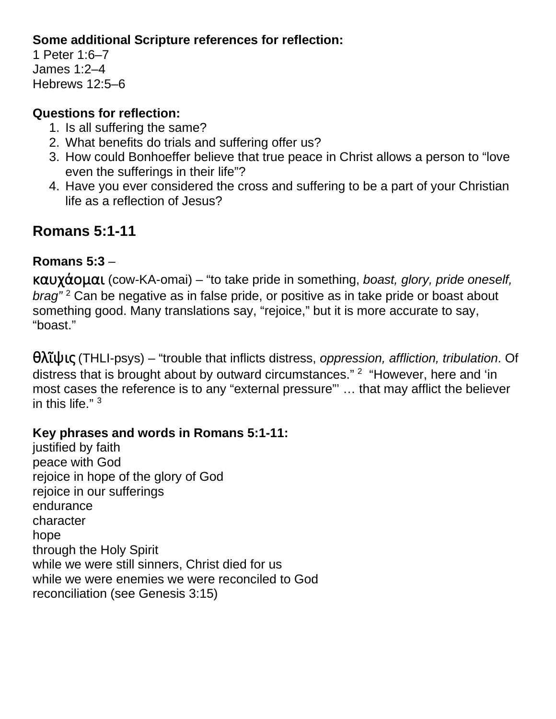#### **Some additional Scripture references for reflection:**

1 Peter 1:6–7 James 1:2–4 Hebrews 12:5–6

#### **Questions for reflection:**

- 1. Is all suffering the same?
- 2. What benefits do trials and suffering offer us?
- 3. How could Bonhoeffer believe that true peace in Christ allows a person to "love even the sufferings in their life"?
- 4. Have you ever considered the cross and suffering to be a part of your Christian life as a reflection of Jesus?

# **Romans 5:1-11**

## **Romans 5:3** –

καυχάομαι (cow-KA-omai) – "to take pride in something, *boast, glory, pride oneself, brag"* <sup>2</sup> Can be negative as in false pride, or positive as in take pride or boast about something good. Many translations say, "rejoice," but it is more accurate to say, "boast."

θλῖψις (THLI-psys) – "trouble that inflicts distress, *oppression, affliction, tribulation*. Of distress that is brought about by outward circumstances." <sup>2</sup> "However, here and 'in most cases the reference is to any "external pressure"' … that may afflict the believer in this life." <sup>3</sup>

#### **Key phrases and words in Romans 5:1-11:**

justified by faith peace with God rejoice in hope of the glory of God rejoice in our sufferings endurance character hope through the Holy Spirit while we were still sinners, Christ died for us while we were enemies we were reconciled to God reconciliation (see Genesis 3:15)